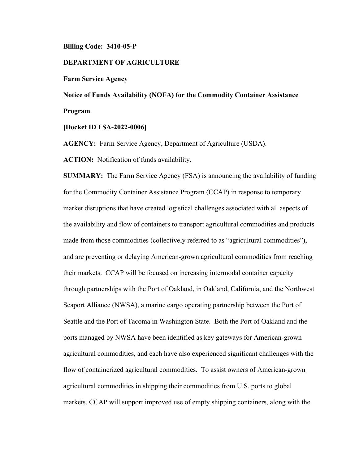**Billing Code: 3410-05-P**

## **DEPARTMENT OF AGRICULTURE**

**Farm Service Agency**

**Notice of Funds Availability (NOFA) for the Commodity Container Assistance Program**

**[Docket ID FSA-2022-0006]**

**AGENCY:** Farm Service Agency, Department of Agriculture (USDA).

**ACTION:** Notification of funds availability.

**SUMMARY:** The Farm Service Agency (FSA) is announcing the availability of funding for the Commodity Container Assistance Program (CCAP) in response to temporary market disruptions that have created logistical challenges associated with all aspects of the availability and flow of containers to transport agricultural commodities and products made from those commodities (collectively referred to as "agricultural commodities"), and are preventing or delaying American-grown agricultural commodities from reaching their markets. CCAP will be focused on increasing intermodal container capacity through partnerships with the Port of Oakland, in Oakland, California, and the Northwest Seaport Alliance (NWSA), a marine cargo operating partnership between the Port of Seattle and the Port of Tacoma in Washington State. Both the Port of Oakland and the ports managed by NWSA have been identified as key gateways for American-grown agricultural commodities, and each have also experienced significant challenges with the flow of containerized agricultural commodities. To assist owners of American-grown agricultural commodities in shipping their commodities from U.S. ports to global markets, CCAP will support improved use of empty shipping containers, along with the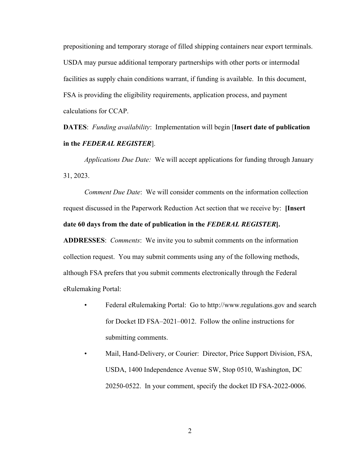prepositioning and temporary storage of filled shipping containers near export terminals. USDA may pursue additional temporary partnerships with other ports or intermodal facilities as supply chain conditions warrant, if funding is available. In this document, FSA is providing the eligibility requirements, application process, and payment calculations for CCAP.

**DATES**: *Funding availability*: Implementation will begin [**Insert date of publication in the** *FEDERAL REGISTER*].

*Applications Due Date:* We will accept applications for funding through January 31, 2023.

*Comment Due Date*: We will consider comments on the information collection request discussed in the Paperwork Reduction Act section that we receive by: **[Insert date 60 days from the date of publication in the** *FEDERAL REGISTER***].**

**ADDRESSES**: *Comments*: We invite you to submit comments on the information collection request. You may submit comments using any of the following methods, although FSA prefers that you submit comments electronically through the Federal eRulemaking Portal:

- Federal eRulemaking Portal: Go to http://www.regulations.gov and search for Docket ID FSA–2021–0012. Follow the online instructions for submitting comments.
- Mail, Hand-Delivery, or Courier: Director, Price Support Division, FSA, USDA, 1400 Independence Avenue SW, Stop 0510, Washington, DC 20250-0522. In your comment, specify the docket ID FSA-2022-0006.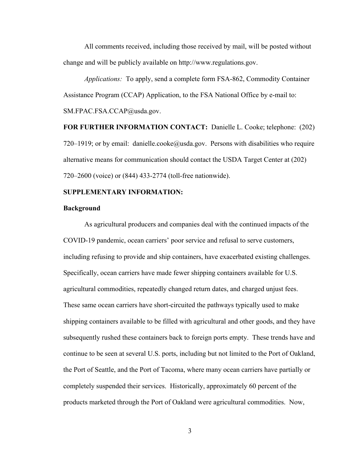All comments received, including those received by mail, will be posted without change and will be publicly available on http://www.regulations.gov.

*Applications:* To apply, send a complete form FSA-862, Commodity Container Assistance Program (CCAP) Application, to the FSA National Office by e-mail to: SM.FPAC.FSA.CCAP@usda.gov.

**FOR FURTHER INFORMATION CONTACT:** Danielle L. Cooke; telephone: (202)  $720-1919$ ; or by email: danielle.cooke@usda.gov. Persons with disabilities who require alternative means for communication should contact the USDA Target Center at (202) 720–2600 (voice) or (844) 433-2774 (toll-free nationwide).

#### **SUPPLEMENTARY INFORMATION:**

#### **Background**

As agricultural producers and companies deal with the continued impacts of the COVID-19 pandemic, ocean carriers' poor service and refusal to serve customers, including refusing to provide and ship containers, have exacerbated existing challenges. Specifically, ocean carriers have made fewer shipping containers available for U.S. agricultural commodities, repeatedly changed return dates, and charged unjust fees. These same ocean carriers have short-circuited the pathways typically used to make shipping containers available to be filled with agricultural and other goods, and they have subsequently rushed these containers back to foreign ports empty. These trends have and continue to be seen at several U.S. ports, including but not limited to the Port of Oakland, the Port of Seattle, and the Port of Tacoma, where many ocean carriers have partially or completely suspended their services. Historically, approximately 60 percent of the products marketed through the Port of Oakland were agricultural commodities. Now,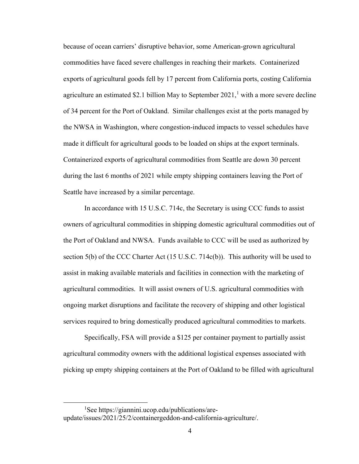because of ocean carriers' disruptive behavior, some American-grown agricultural commodities have faced severe challenges in reaching their markets. Containerized exports of agricultural goods fell by 17 percent from California ports, costing California agriculture an estimated \$2.[1](#page-3-0) billion May to September  $2021$ , with a more severe decline of 34 percent for the Port of Oakland. Similar challenges exist at the ports managed by the NWSA in Washington, where congestion-induced impacts to vessel schedules have made it difficult for agricultural goods to be loaded on ships at the export terminals. Containerized exports of agricultural commodities from Seattle are down 30 percent during the last 6 months of 2021 while empty shipping containers leaving the Port of Seattle have increased by a similar percentage.

In accordance with 15 U.S.C. 714c, the Secretary is using CCC funds to assist owners of agricultural commodities in shipping domestic agricultural commodities out of the Port of Oakland and NWSA. Funds available to CCC will be used as authorized by section 5(b) of the CCC Charter Act (15 U.S.C. 714c(b)). This authority will be used to assist in making available materials and facilities in connection with the marketing of agricultural commodities. It will assist owners of U.S. agricultural commodities with ongoing market disruptions and facilitate the recovery of shipping and other logistical services required to bring domestically produced agricultural commodities to markets.

Specifically, FSA will provide a \$125 per container payment to partially assist agricultural commodity owners with the additional logistical expenses associated with picking up empty shipping containers at the Port of Oakland to be filled with agricultural

<span id="page-3-0"></span><sup>1</sup> See https://giannini.ucop.edu/publications/areupdate/issues/2021/25/2/containergeddon-and-california-agriculture/.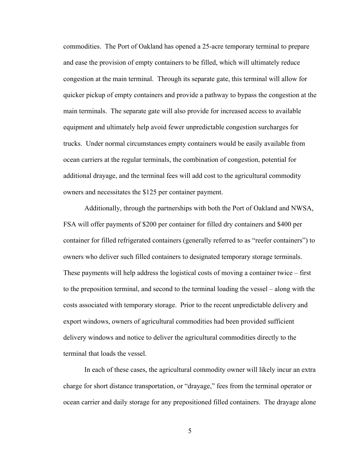commodities. The Port of Oakland has opened a 25-acre temporary terminal to prepare and ease the provision of empty containers to be filled, which will ultimately reduce congestion at the main terminal. Through its separate gate, this terminal will allow for quicker pickup of empty containers and provide a pathway to bypass the congestion at the main terminals. The separate gate will also provide for increased access to available equipment and ultimately help avoid fewer unpredictable congestion surcharges for trucks. Under normal circumstances empty containers would be easily available from ocean carriers at the regular terminals, the combination of congestion, potential for additional drayage, and the terminal fees will add cost to the agricultural commodity owners and necessitates the \$125 per container payment.

Additionally, through the partnerships with both the Port of Oakland and NWSA, FSA will offer payments of \$200 per container for filled dry containers and \$400 per container for filled refrigerated containers (generally referred to as "reefer containers") to owners who deliver such filled containers to designated temporary storage terminals. These payments will help address the logistical costs of moving a container twice – first to the preposition terminal, and second to the terminal loading the vessel – along with the costs associated with temporary storage. Prior to the recent unpredictable delivery and export windows, owners of agricultural commodities had been provided sufficient delivery windows and notice to deliver the agricultural commodities directly to the terminal that loads the vessel.

In each of these cases, the agricultural commodity owner will likely incur an extra charge for short distance transportation, or "drayage," fees from the terminal operator or ocean carrier and daily storage for any prepositioned filled containers. The drayage alone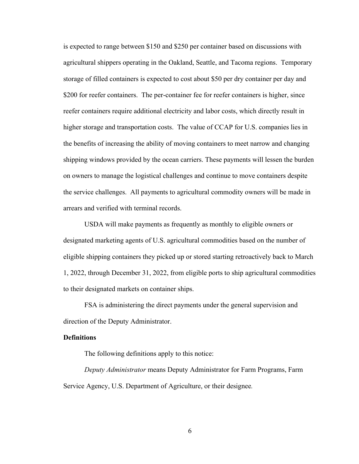is expected to range between \$150 and \$250 per container based on discussions with agricultural shippers operating in the Oakland, Seattle, and Tacoma regions. Temporary storage of filled containers is expected to cost about \$50 per dry container per day and \$200 for reefer containers. The per-container fee for reefer containers is higher, since reefer containers require additional electricity and labor costs, which directly result in higher storage and transportation costs. The value of CCAP for U.S. companies lies in the benefits of increasing the ability of moving containers to meet narrow and changing shipping windows provided by the ocean carriers. These payments will lessen the burden on owners to manage the logistical challenges and continue to move containers despite the service challenges. All payments to agricultural commodity owners will be made in arrears and verified with terminal records.

USDA will make payments as frequently as monthly to eligible owners or designated marketing agents of U.S. agricultural commodities based on the number of eligible shipping containers they picked up or stored starting retroactively back to March 1, 2022, through December 31, 2022, from eligible ports to ship agricultural commodities to their designated markets on container ships.

FSA is administering the direct payments under the general supervision and direction of the Deputy Administrator.

### **Definitions**

The following definitions apply to this notice:

*Deputy Administrator* means Deputy Administrator for Farm Programs, Farm Service Agency, U.S. Department of Agriculture, or their designee*.*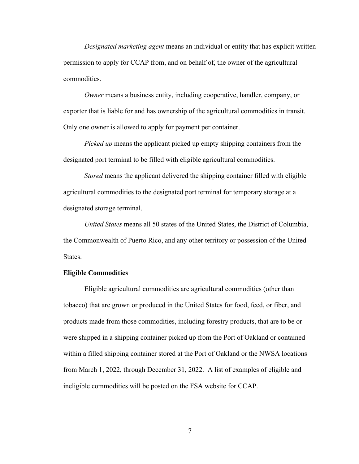*Designated marketing agent* means an individual or entity that has explicit written permission to apply for CCAP from, and on behalf of, the owner of the agricultural commodities.

*Owner* means a business entity, including cooperative, handler, company, or exporter that is liable for and has ownership of the agricultural commodities in transit. Only one owner is allowed to apply for payment per container.

*Picked up* means the applicant picked up empty shipping containers from the designated port terminal to be filled with eligible agricultural commodities.

*Stored* means the applicant delivered the shipping container filled with eligible agricultural commodities to the designated port terminal for temporary storage at a designated storage terminal.

*United States* means all 50 states of the United States, the District of Columbia, the Commonwealth of Puerto Rico, and any other territory or possession of the United States.

# **Eligible Commodities**

Eligible agricultural commodities are agricultural commodities (other than tobacco) that are grown or produced in the United States for food, feed, or fiber, and products made from those commodities, including forestry products, that are to be or were shipped in a shipping container picked up from the Port of Oakland or contained within a filled shipping container stored at the Port of Oakland or the NWSA locations from March 1, 2022, through December 31, 2022. A list of examples of eligible and ineligible commodities will be posted on the FSA website for CCAP.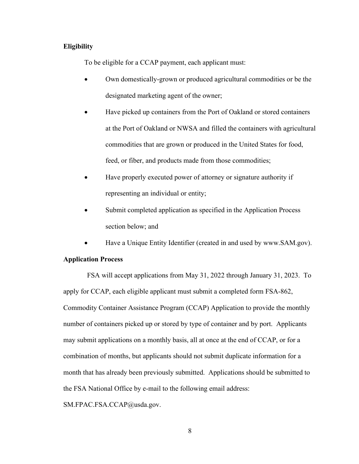## **Eligibility**

To be eligible for a CCAP payment, each applicant must:

- Own domestically-grown or produced agricultural commodities or be the designated marketing agent of the owner;
- Have picked up containers from the Port of Oakland or stored containers at the Port of Oakland or NWSA and filled the containers with agricultural commodities that are grown or produced in the United States for food, feed, or fiber, and products made from those commodities;
- Have properly executed power of attorney or signature authority if representing an individual or entity;
- Submit completed application as specified in the Application Process section below; and
- Have a Unique Entity Identifier (created in and used by www.SAM.gov).

# **Application Process**

FSA will accept applications from May 31, 2022 through January 31, 2023. To apply for CCAP, each eligible applicant must submit a completed form FSA-862, Commodity Container Assistance Program (CCAP) Application to provide the monthly number of containers picked up or stored by type of container and by port. Applicants may submit applications on a monthly basis, all at once at the end of CCAP, or for a combination of months, but applicants should not submit duplicate information for a month that has already been previously submitted. Applications should be submitted to the FSA National Office by e-mail to the following email address:

SM.FPAC.FSA.CCAP@usda.gov.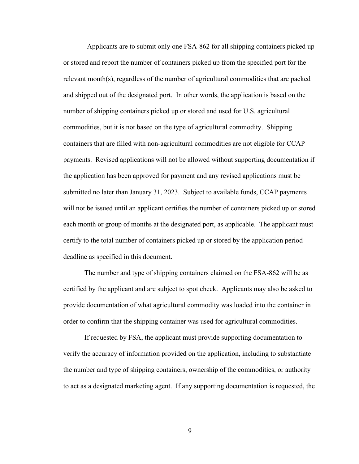Applicants are to submit only one FSA-862 for all shipping containers picked up or stored and report the number of containers picked up from the specified port for the relevant month(s), regardless of the number of agricultural commodities that are packed and shipped out of the designated port. In other words, the application is based on the number of shipping containers picked up or stored and used for U.S. agricultural commodities, but it is not based on the type of agricultural commodity. Shipping containers that are filled with non-agricultural commodities are not eligible for CCAP payments. Revised applications will not be allowed without supporting documentation if the application has been approved for payment and any revised applications must be submitted no later than January 31, 2023. Subject to available funds, CCAP payments will not be issued until an applicant certifies the number of containers picked up or stored each month or group of months at the designated port, as applicable. The applicant must certify to the total number of containers picked up or stored by the application period deadline as specified in this document.

The number and type of shipping containers claimed on the FSA-862 will be as certified by the applicant and are subject to spot check. Applicants may also be asked to provide documentation of what agricultural commodity was loaded into the container in order to confirm that the shipping container was used for agricultural commodities.

If requested by FSA, the applicant must provide supporting documentation to verify the accuracy of information provided on the application, including to substantiate the number and type of shipping containers, ownership of the commodities, or authority to act as a designated marketing agent. If any supporting documentation is requested, the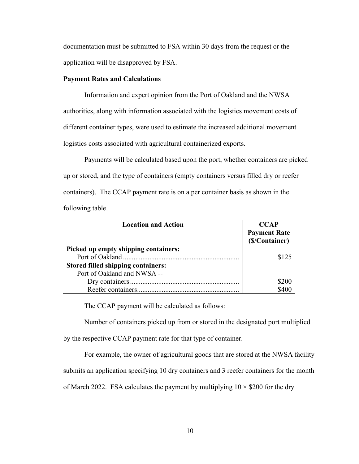documentation must be submitted to FSA within 30 days from the request or the application will be disapproved by FSA.

# **Payment Rates and Calculations**

Information and expert opinion from the Port of Oakland and the NWSA authorities, along with information associated with the logistics movement costs of different container types, were used to estimate the increased additional movement logistics costs associated with agricultural containerized exports.

Payments will be calculated based upon the port, whether containers are picked up or stored, and the type of containers (empty containers versus filled dry or reefer containers). The CCAP payment rate is on a per container basis as shown in the following table.

| <b>Location and Action</b>                | <b>CCAP</b>                           |
|-------------------------------------------|---------------------------------------|
|                                           | <b>Payment Rate</b><br>(\$/Container) |
| Picked up empty shipping containers:      |                                       |
|                                           | \$125                                 |
| <b>Stored filled shipping containers:</b> |                                       |
| Port of Oakland and NWSA --               |                                       |
|                                           | \$200                                 |
|                                           |                                       |

The CCAP payment will be calculated as follows:

Number of containers picked up from or stored in the designated port multiplied by the respective CCAP payment rate for that type of container.

For example, the owner of agricultural goods that are stored at the NWSA facility

submits an application specifying 10 dry containers and 3 reefer containers for the month

of March 2022. FSA calculates the payment by multiplying  $10 \times $200$  for the dry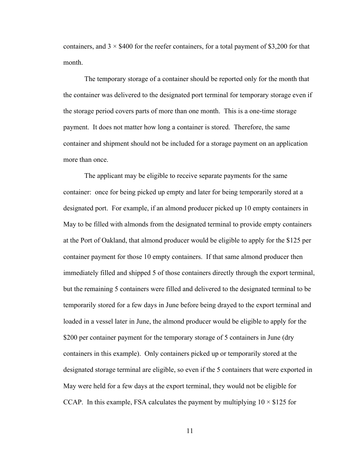containers, and  $3 \times $400$  for the reefer containers, for a total payment of \$3,200 for that month.

The temporary storage of a container should be reported only for the month that the container was delivered to the designated port terminal for temporary storage even if the storage period covers parts of more than one month. This is a one-time storage payment. It does not matter how long a container is stored. Therefore, the same container and shipment should not be included for a storage payment on an application more than once.

The applicant may be eligible to receive separate payments for the same container: once for being picked up empty and later for being temporarily stored at a designated port. For example, if an almond producer picked up 10 empty containers in May to be filled with almonds from the designated terminal to provide empty containers at the Port of Oakland, that almond producer would be eligible to apply for the \$125 per container payment for those 10 empty containers. If that same almond producer then immediately filled and shipped 5 of those containers directly through the export terminal, but the remaining 5 containers were filled and delivered to the designated terminal to be temporarily stored for a few days in June before being drayed to the export terminal and loaded in a vessel later in June, the almond producer would be eligible to apply for the \$200 per container payment for the temporary storage of 5 containers in June (dry containers in this example). Only containers picked up or temporarily stored at the designated storage terminal are eligible, so even if the 5 containers that were exported in May were held for a few days at the export terminal, they would not be eligible for CCAP. In this example, FSA calculates the payment by multiplying  $10 \times $125$  for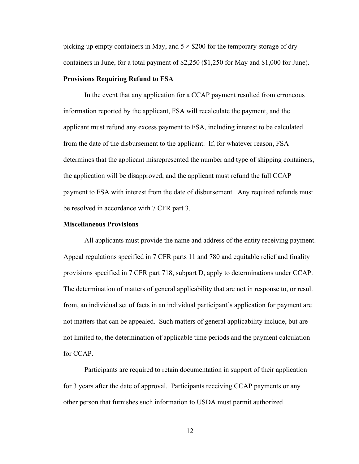picking up empty containers in May, and  $5 \times $200$  for the temporary storage of dry containers in June, for a total payment of \$2,250 (\$1,250 for May and \$1,000 for June).

## **Provisions Requiring Refund to FSA**

In the event that any application for a CCAP payment resulted from erroneous information reported by the applicant, FSA will recalculate the payment, and the applicant must refund any excess payment to FSA, including interest to be calculated from the date of the disbursement to the applicant. If, for whatever reason, FSA determines that the applicant misrepresented the number and type of shipping containers, the application will be disapproved, and the applicant must refund the full CCAP payment to FSA with interest from the date of disbursement. Any required refunds must be resolved in accordance with 7 CFR part 3.

## **Miscellaneous Provisions**

All applicants must provide the name and address of the entity receiving payment. Appeal regulations specified in 7 CFR parts 11 and 780 and equitable relief and finality provisions specified in 7 CFR part 718, subpart D, apply to determinations under CCAP. The determination of matters of general applicability that are not in response to, or result from, an individual set of facts in an individual participant's application for payment are not matters that can be appealed. Such matters of general applicability include, but are not limited to, the determination of applicable time periods and the payment calculation for CCAP.

Participants are required to retain documentation in support of their application for 3 years after the date of approval. Participants receiving CCAP payments or any other person that furnishes such information to USDA must permit authorized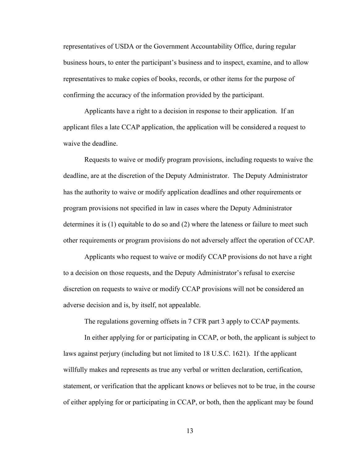representatives of USDA or the Government Accountability Office, during regular business hours, to enter the participant's business and to inspect, examine, and to allow representatives to make copies of books, records, or other items for the purpose of confirming the accuracy of the information provided by the participant.

Applicants have a right to a decision in response to their application. If an applicant files a late CCAP application, the application will be considered a request to waive the deadline.

Requests to waive or modify program provisions, including requests to waive the deadline, are at the discretion of the Deputy Administrator. The Deputy Administrator has the authority to waive or modify application deadlines and other requirements or program provisions not specified in law in cases where the Deputy Administrator determines it is (1) equitable to do so and (2) where the lateness or failure to meet such other requirements or program provisions do not adversely affect the operation of CCAP.

Applicants who request to waive or modify CCAP provisions do not have a right to a decision on those requests, and the Deputy Administrator's refusal to exercise discretion on requests to waive or modify CCAP provisions will not be considered an adverse decision and is, by itself, not appealable.

The regulations governing offsets in 7 CFR part 3 apply to CCAP payments.

In either applying for or participating in CCAP, or both, the applicant is subject to laws against perjury (including but not limited to 18 U.S.C. 1621). If the applicant willfully makes and represents as true any verbal or written declaration, certification, statement, or verification that the applicant knows or believes not to be true, in the course of either applying for or participating in CCAP, or both, then the applicant may be found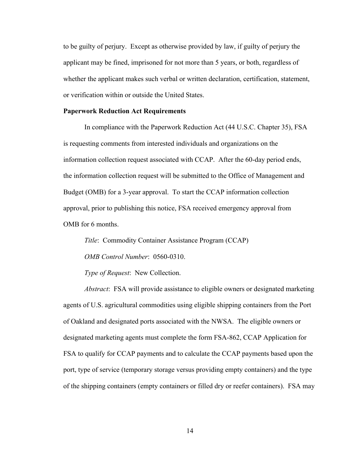to be guilty of perjury. Except as otherwise provided by law, if guilty of perjury the applicant may be fined, imprisoned for not more than 5 years, or both, regardless of whether the applicant makes such verbal or written declaration, certification, statement, or verification within or outside the United States.

#### **Paperwork Reduction Act Requirements**

In compliance with the Paperwork Reduction Act (44 U.S.C. Chapter 35), FSA is requesting comments from interested individuals and organizations on the information collection request associated with CCAP. After the 60-day period ends, the information collection request will be submitted to the Office of Management and Budget (OMB) for a 3-year approval. To start the CCAP information collection approval, prior to publishing this notice, FSA received emergency approval from OMB for 6 months.

*Title*: Commodity Container Assistance Program (CCAP)

*OMB Control Number*: 0560-0310.

*Type of Request*: New Collection.

*Abstract*: FSA will provide assistance to eligible owners or designated marketing agents of U.S. agricultural commodities using eligible shipping containers from the Port of Oakland and designated ports associated with the NWSA. The eligible owners or designated marketing agents must complete the form FSA-862, CCAP Application for FSA to qualify for CCAP payments and to calculate the CCAP payments based upon the port, type of service (temporary storage versus providing empty containers) and the type of the shipping containers (empty containers or filled dry or reefer containers). FSA may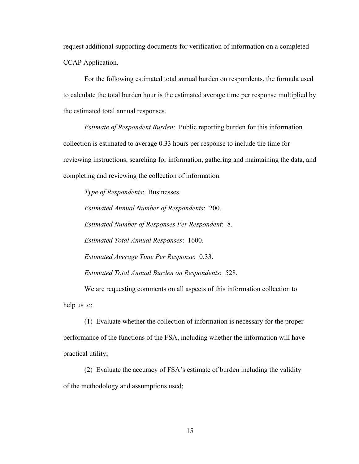request additional supporting documents for verification of information on a completed CCAP Application.

For the following estimated total annual burden on respondents, the formula used to calculate the total burden hour is the estimated average time per response multiplied by the estimated total annual responses.

*Estimate of Respondent Burden*: Public reporting burden for this information collection is estimated to average 0.33 hours per response to include the time for reviewing instructions, searching for information, gathering and maintaining the data, and completing and reviewing the collection of information.

*Type of Respondents*: Businesses. *Estimated Annual Number of Respondents*: 200. *Estimated Number of Responses Per Respondent*: 8. *Estimated Total Annual Responses*: 1600. *Estimated Average Time Per Response*: 0.33. *Estimated Total Annual Burden on Respondents*: 528.

We are requesting comments on all aspects of this information collection to help us to:

(1) Evaluate whether the collection of information is necessary for the proper performance of the functions of the FSA, including whether the information will have practical utility;

(2) Evaluate the accuracy of FSA's estimate of burden including the validity of the methodology and assumptions used;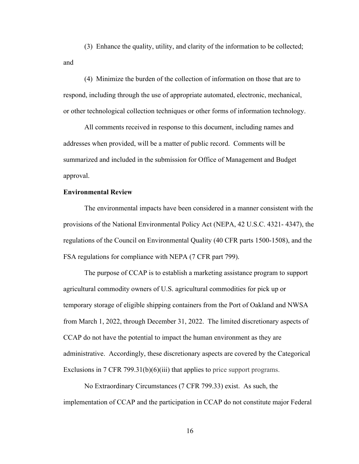(3) Enhance the quality, utility, and clarity of the information to be collected; and

(4) Minimize the burden of the collection of information on those that are to respond, including through the use of appropriate automated, electronic, mechanical, or other technological collection techniques or other forms of information technology.

All comments received in response to this document, including names and addresses when provided, will be a matter of public record. Comments will be summarized and included in the submission for Office of Management and Budget approval.

#### **Environmental Review**

The environmental impacts have been considered in a manner consistent with the provisions of the National Environmental Policy Act (NEPA, 42 U.S.C. 4321- 4347), the regulations of the Council on Environmental Quality (40 CFR parts 1500-1508), and the FSA regulations for compliance with NEPA (7 CFR part 799).

The purpose of CCAP is to establish a marketing assistance program to support agricultural commodity owners of U.S. agricultural commodities for pick up or temporary storage of eligible shipping containers from the Port of Oakland and NWSA from March 1, 2022, through December 31, 2022. The limited discretionary aspects of CCAP do not have the potential to impact the human environment as they are administrative. Accordingly, these discretionary aspects are covered by the Categorical Exclusions in 7 CFR 799.31(b)(6)(iii) that applies to price support programs.

No Extraordinary Circumstances (7 CFR 799.33) exist. As such, the implementation of CCAP and the participation in CCAP do not constitute major Federal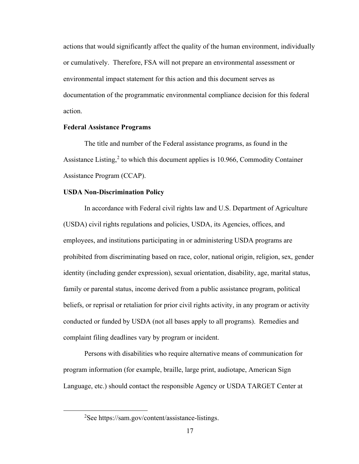actions that would significantly affect the quality of the human environment, individually or cumulatively. Therefore, FSA will not prepare an environmental assessment or environmental impact statement for this action and this document serves as documentation of the programmatic environmental compliance decision for this federal action.

# **Federal Assistance Programs**

The title and number of the Federal assistance programs, as found in the Assistance Listing, $^2$  $^2$  to which this document applies is 10.966, Commodity Container Assistance Program (CCAP).

#### **USDA Non-Discrimination Policy**

In accordance with Federal civil rights law and U.S. Department of Agriculture (USDA) civil rights regulations and policies, USDA, its Agencies, offices, and employees, and institutions participating in or administering USDA programs are prohibited from discriminating based on race, color, national origin, religion, sex, gender identity (including gender expression), sexual orientation, disability, age, marital status, family or parental status, income derived from a public assistance program, political beliefs, or reprisal or retaliation for prior civil rights activity, in any program or activity conducted or funded by USDA (not all bases apply to all programs). Remedies and complaint filing deadlines vary by program or incident.

Persons with disabilities who require alternative means of communication for program information (for example, braille, large print, audiotape, American Sign Language, etc.) should contact the responsible Agency or USDA TARGET Center at

<span id="page-16-0"></span><sup>2</sup> See https://sam.gov/content/assistance-listings.